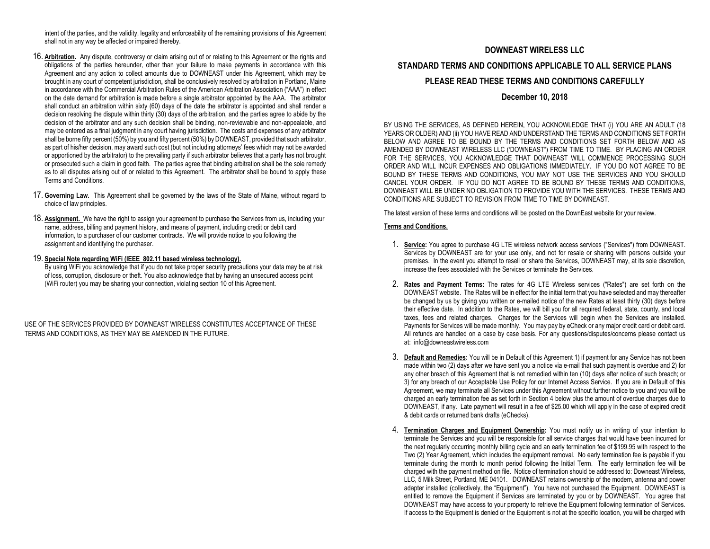intent of the parties, and the validity, legality and enforceability of the remaining provisions of this Agreement shall not in any way be affected or impaired thereby.

- 16. **Arbitration.** Any dispute, controversy or claim arising out of or relating to this Agreement or the rights and obligations of the parties hereunder, other than your failure to make payments in accordance with this Agreement and any action to collect amounts due to DOWNEAST under this Agreement, which may be brought in any court of competent jurisdiction**,** shall be conclusively resolved by arbitration in Portland, Maine in accordance with the Commercial Arbitration Rules of the American Arbitration Association ("AAA") in effect on the date demand for arbitration is made before a single arbitrator appointed by the AAA. The arbitrator shall conduct an arbitration within sixty (60) days of the date the arbitrator is appointed and shall render a decision resolving the dispute within thirty (30) days of the arbitration, and the parties agree to abide by the decision of the arbitrator and any such decision shall be binding, non-reviewable and non-appealable, and may be entered as a final judgment in any court having jurisdiction. The costs and expenses of any arbitrator shall be borne fifty percent (50%) by you and fifty percent (50%) by DOWNEAST, provided that such arbitrator, as part of his/her decision, may award such cost (but not including attorneys' fees which may not be awarded or apportioned by the arbitrator) to the prevailing party if such arbitrator believes that a party has not brought or prosecuted such a claim in good faith. The parties agree that binding arbitration shall be the sole remedy as to all disputes arising out of or related to this Agreement. The arbitrator shall be bound to apply these Terms and Conditions.
- 17. **Governing Law.** This Agreement shall be governed by the laws of the State of Maine, without regard to choice of law principles.
- 18. **Assignment.** We have the right to assign your agreement to purchase the Services from us, including your name, address, billing and payment history, and means of payment, including credit or debit card information, to a purchaser of our customer contracts. We will provide notice to you following the assignment and identifying the purchaser.

## 19. **Special Note regarding WiFi (IEEE 802.11 based wireless technology).**

By using WiFi you acknowledge that if you do not take proper security precautions your data may be at risk of loss, corruption, disclosure or theft. You also acknowledge that by having an unsecured access point (WiFi router) you may be sharing your connection, violating section 10 of this Agreement.

USE OF THE SERVICES PROVIDED BY DOWNEAST WIRELESS CONSTITUTES ACCEPTANCE OF THESE TERMS AND CONDITIONS, AS THEY MAY BE AMENDED IN THE FUTURE.

# **DOWNEAST WIRELESS LLC STANDARD TERMS AND CONDITIONS APPLICABLE TO ALL SERVICE PLANS PLEASE READ THESE TERMS AND CONDITIONS CAREFULLY**

## **December 10, 2018**

BY USING THE SERVICES, AS DEFINED HEREIN, YOU ACKNOWLEDGE THAT (i) YOU ARE AN ADULT (18 YEARS OR OLDER) AND (ii) YOU HAVE READ AND UNDERSTAND THE TERMS AND CONDITIONS SET FORTH BELOW AND AGREE TO BE BOUND BY THE TERMS AND CONDITIONS SET FORTH BELOW AND AS AMENDED BY DOWNEAST WIRELESS LLC ('DOWNEAST") FROM TIME TO TIME. BY PLACING AN ORDER FOR THE SERVICES, YOU ACKNOWLEDGE THAT DOWNEAST WILL COMMENCE PROCESSING SUCH ORDER AND WILL INCUR EXPENSES AND OBLIGATIONS IMMEDIATELY. IF YOU DO NOT AGREE TO BE BOUND BY THESE TERMS AND CONDITIONS, YOU MAY NOT USE THE SERVICES AND YOU SHOULD CANCEL YOUR ORDER. IF YOU DO NOT AGREE TO BE BOUND BY THESE TERMS AND CONDITIONS, DOWNEAST WILL BE UNDER NO OBLIGATION TO PROVIDE YOU WITH THE SERVICES. THESE TERMS AND CONDITIONS ARE SUBJECT TO REVISION FROM TIME TO TIME BY DOWNEAST.

The latest version of these terms and conditions will be posted on the DownEast website for your review.

## **Terms and Conditions.**

- 1. **Service:** You agree to purchase 4G LTE wireless network access services ("Services") from DOWNEAST. Services by DOWNEAST are for your use only, and not for resale or sharing with persons outside your premises. In the event you attempt to resell or share the Services, DOWNEAST may, at its sole discretion, increase the fees associated with the Services or terminate the Services.
- 2. **Rates and Payment Terms:** The rates for 4G LTE Wireless services ("Rates") are set forth on the DOWNEAST website. The Rates will be in effect for the initial term that you have selected and may thereafter be changed by us by giving you written or e-mailed notice of the new Rates at least thirty (30) days before their effective date. In addition to the Rates, we will bill you for all required federal, state, county, and local taxes, fees and related charges. Charges for the Services will begin when the Services are installed. Payments for Services will be made monthly. You may pay by eCheck or any major credit card or debit card. All refunds are handled on a case by case basis. For any questions/disputes/concerns please contact us at: info@downeastwireless.com
- 3. **Default and Remedies:** You will be in Default of this Agreement 1) if payment for any Service has not been made within two (2) days after we have sent you a notice via e-mail that such payment is overdue and 2) for any other breach of this Agreement that is not remedied within ten (10) days after notice of such breach; or 3) for any breach of our Acceptable Use Policy for our Internet Access Service. If you are in Default of this Agreement, we may terminate all Services under this Agreement without further notice to you and you will be charged an early termination fee as set forth in Section 4 below plus the amount of overdue charges due to DOWNEAST, if any. Late payment will result in a fee of \$25.00 which will apply in the case of expired credit & debit cards or returned bank drafts (eChecks).
- 4. **Termination Charges and Equipment Ownership:** You must notify us in writing of your intention to terminate the Services and you will be responsible for all service charges that would have been incurred for the next regularly occurring monthly billing cycle and an early termination fee of \$199.95 with respect to the Two (2) Year Agreement, which includes the equipment removal. No early termination fee is payable if you terminate during the month to month period following the Initial Term. The early termination fee will be charged with the payment method on file. Notice of termination should be addressed to: Downeast Wireless, LLC, 5 Milk Street, Portland, ME 04101. DOWNEAST retains ownership of the modem, antenna and power adapter installed (collectively, the "Equipment"). You have not purchased the Equipment. DOWNEAST is entitled to remove the Equipment if Services are terminated by you or by DOWNEAST. You agree that DOWNEAST may have access to your property to retrieve the Equipment following termination of Services. If access to the Equipment is denied or the Equipment is not at the specific location, you will be charged with